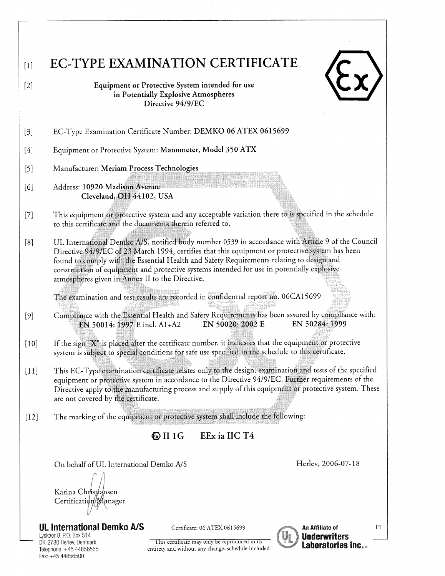## **EC-TYPE EXAMINATION CERTIFICATE**  $[1]$

| 1 |
|---|
|   |

Equipment or Protective System intended for use in Potentially Explosive Atmospheres Directive 94/9/EC

- EC-Type Examination Certificate Number: DEMKO 06 ATEX 0615699  $\lceil 3 \rceil$
- Equipment or Protective System: Manometer, Model 350 ATX  $[4]$
- $[5]$ Manufacturer: Meriam Process Technologies

 $[6]$ Address: 10920 Madison Avenue Cleveland, OH 44102, USA

 $[2]$ 

- This equipment or protective system and any acceptable variation there to is specified in the schedule  $[7]$ to this certificate and the documents therein referred to.
- UL International Demko A/S, notified body number 0539 in accordance with Article 9 of the Council  $[8]$ Directive 94/9/EC of 23 March 1994, certifies that this equipment or protective system has been found to comply with the Essential Health and Safety Requirements relating to design and construction of equipment and protective systems intended for use in potentially explosive atmospheres given in Annex II to the Directive.

The examination and test results are recorded in confidential report no. 06CA15699

- Compliance with the Essential Health and Safety Requirements has been assured by compliance with:  $[9]$ EN 50284: 1999 EN 50020: 2002 E EN 50014: 1997 E incl. A1+A2
- If the sign "X" is placed after the certificate number, it indicates that the equipment or protective  $[10]$ system is subject to special conditions for safe use specified in the schedule to this certificate.
- This EC-Type examination certificate relates only to the design, examination and tests of the specified  $[11]$ equipment or protective system in accordance to the Directive 94/9/EC. Further requirements of the Directive apply to the manufacturing process and supply of this equipment or protective system. These are not covered by the certificate.
- The marking of the equipment or protective system shall include the following:  $[12]$

EEx ia IIC T4  $\&$  II 1G

On behalf of UL International Demko A/S

Herley, 2006-07-18

Karina Christiansen Certification Manager

**UL International Demko A/S** 

Lyskaer 8, P.O. Box 514 DK-2730 Herlev, Denmark Telephone: +45 44856565 Fax: +45 44856500

Certificate: 06 ATEX 0615699

This certificate may only be reproduced in its

entirety and without any change, schedule included



**An Affiliate of Underwriters Laboratories Inc...** 

 $P1$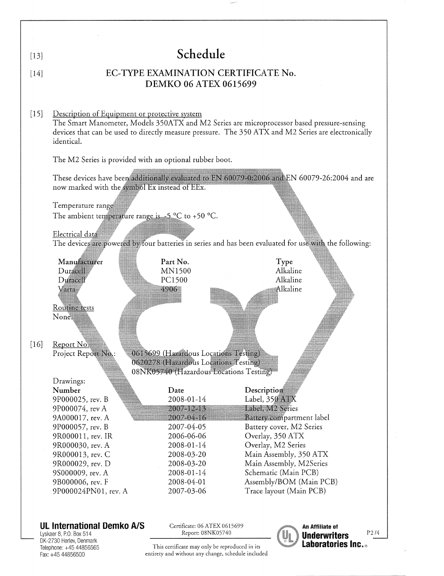| $[13]$ | Schedule                                                                                                                                                                                                                                                                                                                                                 |                                                                                                                                                                                                           |                                                                                                                                                                                                                                                                                         |                                                    |  |  |
|--------|----------------------------------------------------------------------------------------------------------------------------------------------------------------------------------------------------------------------------------------------------------------------------------------------------------------------------------------------------------|-----------------------------------------------------------------------------------------------------------------------------------------------------------------------------------------------------------|-----------------------------------------------------------------------------------------------------------------------------------------------------------------------------------------------------------------------------------------------------------------------------------------|----------------------------------------------------|--|--|
| [14]   |                                                                                                                                                                                                                                                                                                                                                          | <b>DEMKO 06 ATEX 0615699</b>                                                                                                                                                                              | EC-TYPE EXAMINATION CERTIFICATE No.                                                                                                                                                                                                                                                     |                                                    |  |  |
| $[15]$ | Description of Equipment or protective system<br>The Smart Manometer, Models 350ATX and M2 Series are microprocessor based pressure-sensing<br>devices that can be used to directly measure pressure. The 350 ATX and M2 Series are electronically<br>identical.                                                                                         |                                                                                                                                                                                                           |                                                                                                                                                                                                                                                                                         |                                                    |  |  |
|        | The M2 Series is provided with an optional rubber boot.                                                                                                                                                                                                                                                                                                  |                                                                                                                                                                                                           |                                                                                                                                                                                                                                                                                         |                                                    |  |  |
|        | These devices have been additionally evaluated to EN 60079-0.2006 and EN 60079-26:2004 and are<br>now marked with the symbol Ex instead of EEx.<br>Temperature range<br>The ambient temperature range is $-5$ °C to +50 °C.<br>Electrical data<br>The devices are powered by four batteries in series and has been evaluated for use with the following: |                                                                                                                                                                                                           |                                                                                                                                                                                                                                                                                         |                                                    |  |  |
| $[16]$ | Manufacturer<br>Duracell<br>Duracell<br>Varta<br>Routine tests<br>None.<br>Report No.<br>Project Report No.:                                                                                                                                                                                                                                             | Part No.<br><b>MN1500</b><br>PC1500<br>4906<br>0615699 (Hazardous Locations Testing)<br>0620278 (Hazardous Locations Testing)                                                                             | Type<br>Alkaline<br>Alkaline<br>Alkaline                                                                                                                                                                                                                                                |                                                    |  |  |
|        | Drawings:<br>Number<br>9P000025, rev. B<br>9P000074, rev A<br>9A000017, rev. A<br>9P000057, rev. B<br>9R000011, rev. IR<br>9R000030, rev. A<br>9R000013, rev. C<br>9R000029, rev. D<br>9S000009, rev. A<br>9B000006, rev. F<br>9P000024PN01, rev. A                                                                                                      | 08NK05740 (Hazardous Locations Testing)<br>Date<br>2008-01-14<br>2007-12-13<br>2007-04-16<br>2007-04-05<br>2006-06-06<br>2008-01-14<br>2008-03-20<br>2008-03-20<br>2008-01-14<br>2008-04-01<br>2007-03-06 | Description<br>Label, 350 ATX<br>Label, M2 Series<br>Battery compartment label<br>Battery cover, M2 Series<br>Overlay, 350 ATX<br>Overlay, M2 Series<br>Main Assembly, 350 ATX<br>Main Assembly, M2Series<br>Schematic (Main PCB)<br>Assembly/BOM (Main PCB)<br>Trace layout (Main PCB) |                                                    |  |  |
|        | <b>UL International Demko A/S</b><br>Lyskaer 8, P.O. Box 514<br>DK-2730 Herlev, Denmark                                                                                                                                                                                                                                                                  | Certificate: 06 ATEX 0615699<br>Report: 08NK05740                                                                                                                                                         |                                                                                                                                                                                                                                                                                         | <b>An Affiliate of</b><br>$P$ 2/4<br>lInderwriters |  |  |

Lyskaer 8, P.O. Box 514<br>DK-2730 Herley, Denmark<br>Telephone: +45 44856565<br>Fax: +45 44856500

J.

Laboratories Inc.<sup>®</sup>

 $\label{thm:optimal} \begin{minipage}{0.9\linewidth} \textbf{This certificate may only be reproduced in its entirety and without any change, schedule included} \end{minipage}$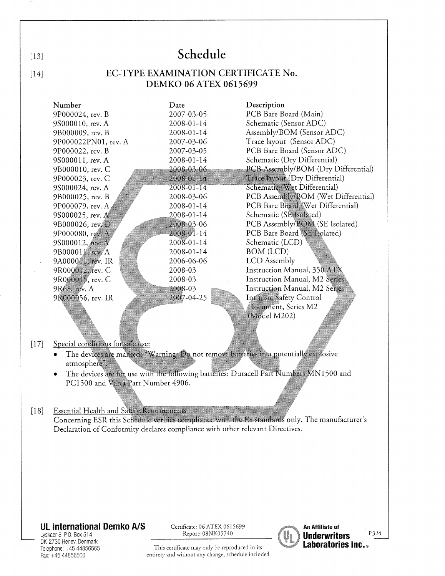## Schedule  $[13]$ EC-TYPE EXAMINATION CERTIFICATE No.  $[14]$ **DEMKO 06 ATEX 0615699** Description Number Date 9P000024, rev. B 2007-03-05 PCB Bare Board (Main) 9S000010, rev. A Schematic (Sensor ADC) 2008-01-14 Assembly/BOM (Sensor ADC) 9B000009, rev. B 2008-01-14 Trace layout (Sensor ADC) 9P000022PN01, rev. A 2007-03-06 PCB Bare Board (Sensor ADC) 9P000022, rev. B 2007-03-05 Schematic (Dry Differential) 9S000011, rev. A 2008-01-14 9B000010, rev. C 2008-03-06 PCB Assembly/BOM (Dry Differential) Trace layour (Dry Differential) 9P000023, rev. C 2008-01-14 Schematic (Wet Differential) 9S000024, rev. A 2008-01-14 PCB Assembly/BOM (Wet Differential) 9B000025, rev. B 2008-03-06 PCB Bare Board (Wet Differential) 9P000079, rev. A 2008-01-14 Schematic (SE Isolated) 2008-01-14 9S000025, rev. A PCB Assembly/BOM (SE Isolated) 9B000026, rev.D 2008-03-06 9P000080, rev. A 2008-01-14 PCB Bare Board (SE Isolated) 2008-01-14 Schematic (LCD) 9S000012, rev. A **BOM** (LCD) 9B000011 rev. A 2008-01-14 9A000011, rev. IR 2006-06-06 **LCD** Assembly 9R000012, rev. C Instruction Manual, 350 ATX 2008-03 9R000045, rev. C Instruction Manual, M2 Series 2008-03 Instruction Manual, M2 Series 9R68, rev. A 2008-03 9R000056, rev. IR 2007-04-25 Intrinsic Safety Control Document, Series M2 (Mødel M202)  $[17]$ Special conditions for safe use: The devices are marked: "Warning: Do not remove batteries in a potentially explosive atmosphere". The devices are for use with the following batteries: Duracell Part Numbers MN1500 and PC1500 and Varta Part Number 4906. **Essential Health and Safety Requirements**  $\lceil 18 \rceil$ Concerning ESR this Schedule verifies compliance with the Ex standards only. The manufacturer's Declaration of Conformity declares compliance with other relevant Directives.

## **UL International Demko A/S**

Lyskaer 8, P.O. Box 514 DK-2730 Herlev, Denmark Telephone: +45 44856565 Fax: +45 44856500

Certificate: 06 ATEX 0615699 Report: 08NK05740

This certificate may only be reproduced in its entirety and without any change, schedule included



An Affiliate of P3/4 **Underwriters Laboratories Inc.**..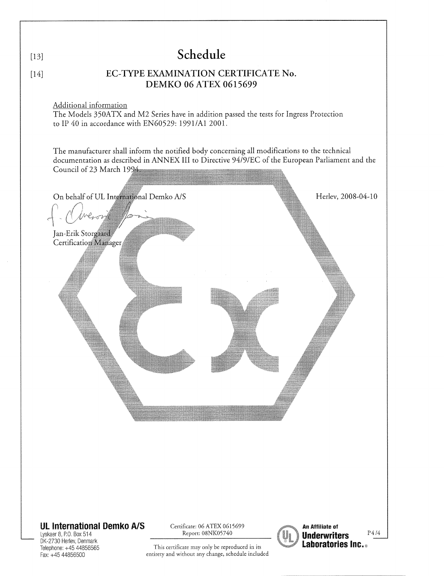|                  |                                                                                                                                                                                                                              | Schedule                                       |                                                                  |  |  |  |  |  |
|------------------|------------------------------------------------------------------------------------------------------------------------------------------------------------------------------------------------------------------------------|------------------------------------------------|------------------------------------------------------------------|--|--|--|--|--|
| $[13]$<br>$[14]$ | EC-TYPE EXAMINATION CERTIFICATE No.                                                                                                                                                                                          |                                                |                                                                  |  |  |  |  |  |
|                  | DEMKO 06 ATEX 0615699                                                                                                                                                                                                        |                                                |                                                                  |  |  |  |  |  |
|                  | Additional information<br>The Models 350ATX and M2 Series have in addition passed the tests for Ingress Protection<br>to IP 40 in accordance with EN60529: 1991/A1 2001.                                                     |                                                |                                                                  |  |  |  |  |  |
|                  | The manufacturer shall inform the notified body concerning all modifications to the technical<br>documentation as described in ANNEX III to Directive 94/9/EC of the European Parliament and the<br>Council of 23 March 1994 |                                                |                                                                  |  |  |  |  |  |
|                  | On behalf of UL International Demko A/S                                                                                                                                                                                      |                                                | Herlev, 2008-04-10                                               |  |  |  |  |  |
|                  | Jan-Erik Storgaard<br>Certification Manager                                                                                                                                                                                  |                                                |                                                                  |  |  |  |  |  |
|                  |                                                                                                                                                                                                                              |                                                |                                                                  |  |  |  |  |  |
|                  |                                                                                                                                                                                                                              |                                                |                                                                  |  |  |  |  |  |
|                  |                                                                                                                                                                                                                              |                                                |                                                                  |  |  |  |  |  |
|                  |                                                                                                                                                                                                                              |                                                |                                                                  |  |  |  |  |  |
|                  |                                                                                                                                                                                                                              |                                                |                                                                  |  |  |  |  |  |
|                  |                                                                                                                                                                                                                              |                                                |                                                                  |  |  |  |  |  |
|                  |                                                                                                                                                                                                                              |                                                |                                                                  |  |  |  |  |  |
|                  | <b>UL International Demko A/S</b><br>Certificate: 06 ATEX 0615699<br>An Affiliate of<br>Report: 08NK05740                                                                                                                    |                                                |                                                                  |  |  |  |  |  |
|                  | Lyskaer 8, P.O. Box 514<br>DK-2730 Herlev, Denmark<br>Telephone: +45 44856565                                                                                                                                                | This certificate may only be reproduced in its | $\rm P4$ /4<br><b>Underwriters</b><br><b>Laboratories Inc.</b> ® |  |  |  |  |  |

This certificate may only be reproduced in its<br>entirety and without any change, schedule included

Fax: +45 44856500